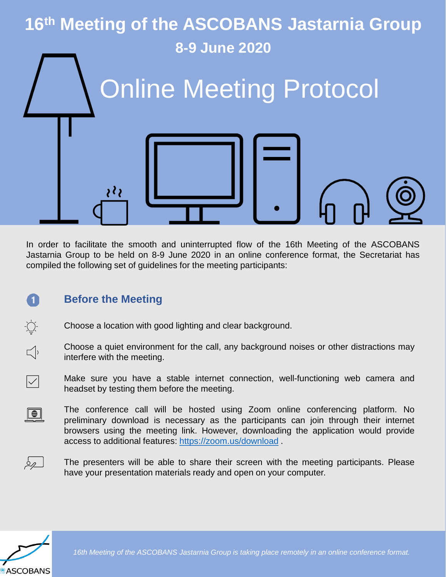

In order to facilitate the smooth and uninterrupted flow of the 16th Meeting of the ASCOBANS Jastarnia Group to be held on 8-9 June 2020 in an online conference format, the Secretariat has compiled the following set of guidelines for the meeting participants:

## **Before the Meeting**

- Choose a location with good lighting and clear background.
- Choose a quiet environment for the call, any background noises or other distractions may interfere with the meeting.
	- Make sure you have a stable internet connection, well-functioning web camera and headset by testing them before the meeting.
	- The conference call will be hosted using Zoom online conferencing platform. No preliminary download is necessary as the participants can join through their internet browsers using the meeting link. However, downloading the application would provide access to additional features: <https://zoom.us/download> .



 $\blacksquare$ 

 $\sum_{n=1}^{n} \sum_{i=1}^{n} \frac{1}{n}$ 

 $\Box$ 

 $\boxed{\smile}$ 

 $\boxed{\oplus}$ 

The presenters will be able to share their screen with the meeting participants. Please have your presentation materials ready and open on your computer.



*16th Meeting of the ASCOBANS Jastarnia Group is taking place remotely in an online conference format.*